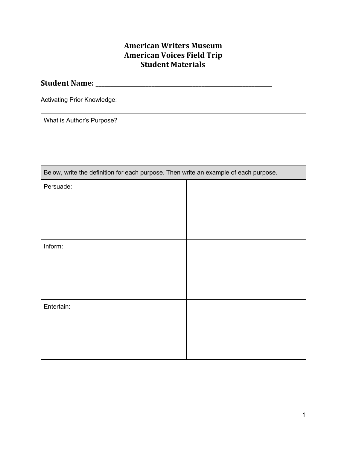# **American Writers Museum American Voices Field Trip Student Materials**

## **Student Name: \_\_\_\_\_\_\_\_\_\_\_\_\_\_\_\_\_\_\_\_\_\_\_\_\_\_\_\_\_\_\_\_\_\_\_\_\_\_\_\_\_\_\_\_\_\_\_\_\_\_\_\_\_\_\_\_\_\_\_\_**

Activating Prior Knowledge:

| What is Author's Purpose?                                                            |  |  |  |  |  |  |
|--------------------------------------------------------------------------------------|--|--|--|--|--|--|
|                                                                                      |  |  |  |  |  |  |
|                                                                                      |  |  |  |  |  |  |
|                                                                                      |  |  |  |  |  |  |
| Below, write the definition for each purpose. Then write an example of each purpose. |  |  |  |  |  |  |
| Persuade:                                                                            |  |  |  |  |  |  |
|                                                                                      |  |  |  |  |  |  |
|                                                                                      |  |  |  |  |  |  |
|                                                                                      |  |  |  |  |  |  |
|                                                                                      |  |  |  |  |  |  |
| Inform:                                                                              |  |  |  |  |  |  |
|                                                                                      |  |  |  |  |  |  |
|                                                                                      |  |  |  |  |  |  |
|                                                                                      |  |  |  |  |  |  |
|                                                                                      |  |  |  |  |  |  |
| Entertain:                                                                           |  |  |  |  |  |  |
|                                                                                      |  |  |  |  |  |  |
|                                                                                      |  |  |  |  |  |  |
|                                                                                      |  |  |  |  |  |  |
|                                                                                      |  |  |  |  |  |  |
|                                                                                      |  |  |  |  |  |  |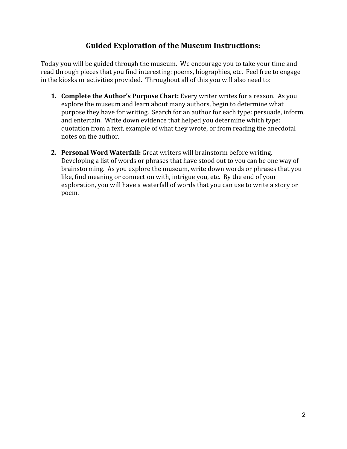# **Guided Exploration of the Museum Instructions:**

Today you will be guided through the museum. We encourage you to take your time and read through pieces that you find interesting: poems, biographies, etc. Feel free to engage in the kiosks or activities provided. Throughout all of this you will also need to:

- **1. Complete the Author's Purpose Chart:** Every writer writes for a reason. As you explore the museum and learn about many authors, begin to determine what purpose they have for writing. Search for an author for each type: persuade, inform, and entertain. Write down evidence that helped you determine which type: quotation from a text, example of what they wrote, or from reading the anecdotal notes on the author.
- **2. Personal Word Waterfall:** Great writers will brainstorm before writing. Developing a list of words or phrases that have stood out to you can be one way of brainstorming. As you explore the museum, write down words or phrases that you like, find meaning or connection with, intrigue you, etc. By the end of your exploration, you will have a waterfall of words that you can use to write a story or poem.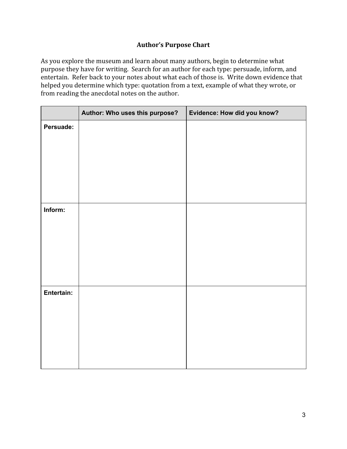## **Author's Purpose Chart**

As you explore the museum and learn about many authors, begin to determine what purpose they have for writing. Search for an author for each type: persuade, inform, and entertain. Refer back to your notes about what each of those is. Write down evidence that helped you determine which type: quotation from a text, example of what they wrote, or from reading the anecdotal notes on the author.

|            | Author: Who uses this purpose? | Evidence: How did you know? |
|------------|--------------------------------|-----------------------------|
| Persuade:  |                                |                             |
|            |                                |                             |
|            |                                |                             |
|            |                                |                             |
|            |                                |                             |
|            |                                |                             |
| Inform:    |                                |                             |
|            |                                |                             |
|            |                                |                             |
|            |                                |                             |
|            |                                |                             |
|            |                                |                             |
| Entertain: |                                |                             |
|            |                                |                             |
|            |                                |                             |
|            |                                |                             |
|            |                                |                             |
|            |                                |                             |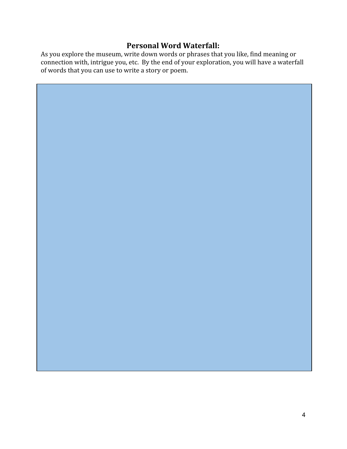## **Personal Word Waterfall:**

As you explore the museum, write down words or phrases that you like, find meaning or connection with, intrigue you, etc. By the end of your exploration, you will have a waterfall of words that you can use to write a story or poem.

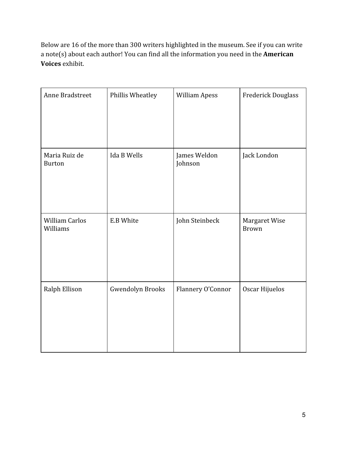Below are 16 of the more than 300 writers highlighted in the museum. See if you can write a note(s) about each author! You can find all the information you need in the **American Voices** exhibit.

| Anne Bradstreet                   | Phillis Wheatley        | <b>William Apess</b>    | <b>Frederick Douglass</b>     |
|-----------------------------------|-------------------------|-------------------------|-------------------------------|
| Maria Ruiz de<br><b>Burton</b>    | Ida B Wells             | James Weldon<br>Johnson | Jack London                   |
| <b>William Carlos</b><br>Williams | E.B White               | John Steinbeck          | Margaret Wise<br><b>Brown</b> |
| Ralph Ellison                     | <b>Gwendolyn Brooks</b> | Flannery O'Connor       | Oscar Hijuelos                |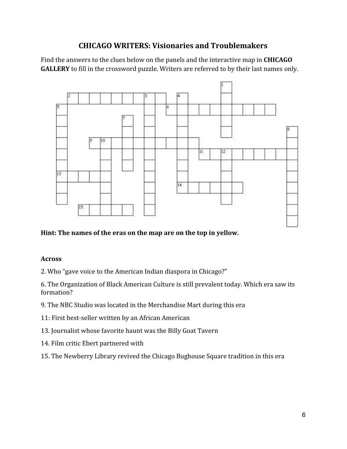# **CHICAGO WRITERS: Visionaries and Troublemakers**

Find the answers to the clues below on the panels and the interactive map in **CHICAGO GALLERY** to fill in the crossword puzzle. Writers are referred to by their last names only.



### **Hint: The names of the eras on the map are on the top in yellow.**

### **Across**

2. Who "gave voice to the American Indian diaspora in Chicago?"

6. The Organization of Black American Culture is still prevalent today. Which era saw its formation?

- 9. The NBC Studio was located in the Merchandise Mart during this era
- 11: First best-seller written by an African American
- 13. Journalist whose favorite haunt was the Billy Goat Tavern
- 14. Film critic Ebert partnered with
- 15. The Newberry Library revived the Chicago Bughouse Square tradition in this era